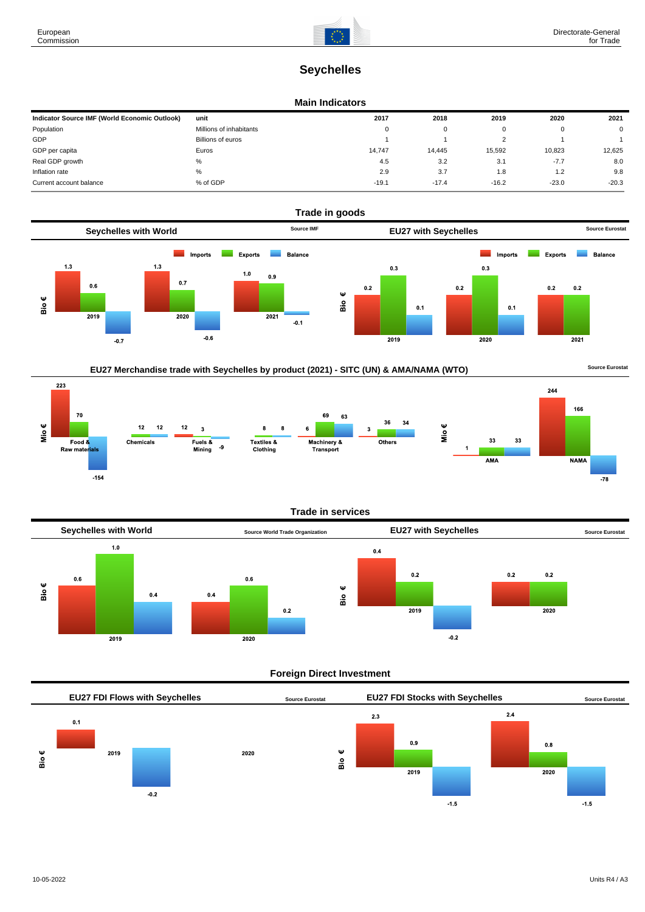# **Seychelles**

### **Main Indicators**

| Indicator Source IMF (World Economic Outlook) | unit                    | 2017     | 2018    | 2019    | 2020    | 2021        |
|-----------------------------------------------|-------------------------|----------|---------|---------|---------|-------------|
| Population                                    | Millions of inhabitants | $\Omega$ | 0       |         |         | $\mathbf 0$ |
| GDP                                           | Billions of euros       |          |         |         |         |             |
| GDP per capita                                | Euros                   | 14.747   | 14.445  | 15,592  | 10.823  | 12,625      |
| Real GDP growth                               | %                       | 4.5      | 3.2     | 3.1     | $-7.7$  | 8.0         |
| Inflation rate                                | %                       | 2.9      | 3.7     | 1.8     | 1.2     | 9.8         |
| Current account balance                       | % of GDP                | $-19.1$  | $-17.4$ | $-16.2$ | $-23.0$ | $-20.3$     |



## EU27 Merchandise trade with Seychelles by product (2021) - SITC (UN) & AMA/NAMA (WTO) **Source Eurostat**





## **Trade in services**



## **Foreign Direct Investment**